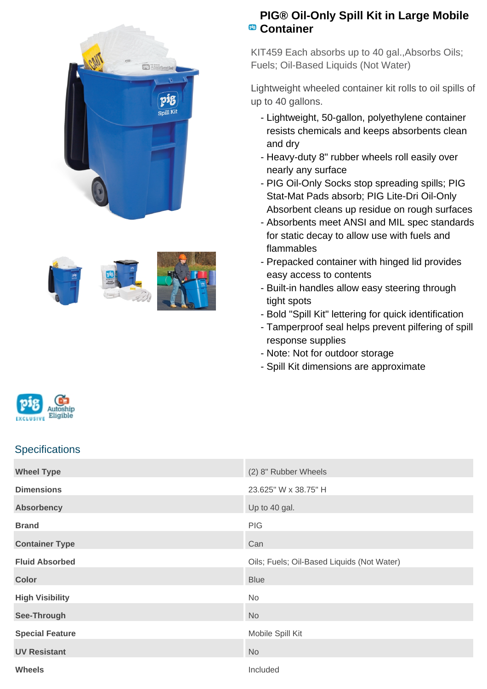



## **PIG® Oil-Only Spill Kit in Large Mobile Container**

KIT459 Each absorbs up to 40 gal.,Absorbs Oils; Fuels; Oil-Based Liquids (Not Water)

Lightweight wheeled container kit rolls to oil spills of up to 40 gallons.

- Lightweight, 50-gallon, polyethylene container resists chemicals and keeps absorbents clean and dry
- Heavy-duty 8" rubber wheels roll easily over nearly any surface
- PIG Oil-Only Socks stop spreading spills; PIG Stat-Mat Pads absorb; PIG Lite-Dri Oil-Only Absorbent cleans up residue on rough surfaces
- Absorbents meet ANSI and MIL spec standards for static decay to allow use with fuels and flammables
- Prepacked container with hinged lid provides easy access to contents
- Built-in handles allow easy steering through tight spots
- Bold "Spill Kit" lettering for quick identification
- Tamperproof seal helps prevent pilfering of spill response supplies
- Note: Not for outdoor storage
- Spill Kit dimensions are approximate



## **Specifications**

| <b>Wheel Type</b>      | (2) 8" Rubber Wheels                       |
|------------------------|--------------------------------------------|
| <b>Dimensions</b>      | 23.625" W x 38.75" H                       |
| <b>Absorbency</b>      | Up to 40 gal.                              |
| <b>Brand</b>           | <b>PIG</b>                                 |
| <b>Container Type</b>  | Can                                        |
| <b>Fluid Absorbed</b>  | Oils; Fuels; Oil-Based Liquids (Not Water) |
| <b>Color</b>           | <b>Blue</b>                                |
| <b>High Visibility</b> | No                                         |
| See-Through            | <b>No</b>                                  |
| <b>Special Feature</b> | Mobile Spill Kit                           |
| <b>UV Resistant</b>    | <b>No</b>                                  |
| <b>Wheels</b>          | Included                                   |